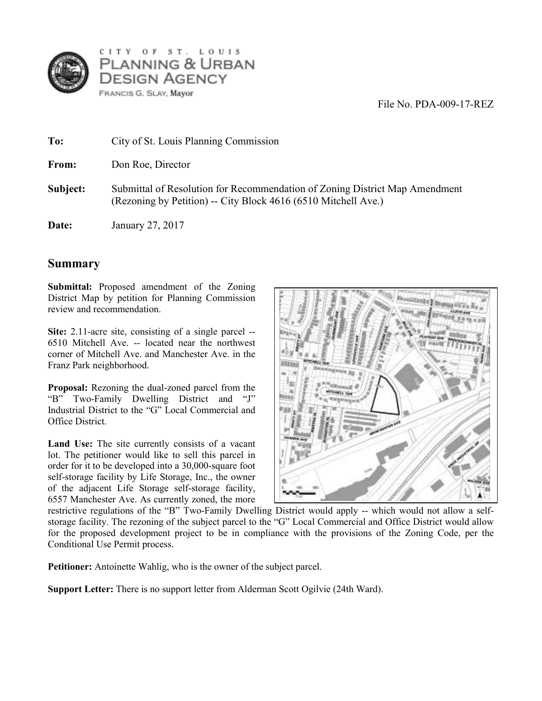

CITY OF ST. LOUIS PLANNING & URBAN **DESIGN AGENCY** FRANCIS G. SLAY, Mayor

File No. PDA-009-17-REZ

| To:      | City of St. Louis Planning Commission                                                                                                         |
|----------|-----------------------------------------------------------------------------------------------------------------------------------------------|
| From:    | Don Roe, Director                                                                                                                             |
| Subject: | Submittal of Resolution for Recommendation of Zoning District Map Amendment<br>(Rezoning by Petition) -- City Block 4616 (6510 Mitchell Ave.) |
| Date:    | January 27, 2017                                                                                                                              |

## **Summary**

**Submittal:** Proposed amendment of the Zoning District Map by petition for Planning Commission review and recommendation.

**Site:** 2.11-acre site, consisting of a single parcel -- 6510 Mitchell Ave. -- located near the northwest corner of Mitchell Ave. and Manchester Ave. in the Franz Park neighborhood.

**Proposal:** Rezoning the dual-zoned parcel from the "B" Two-Family Dwelling District and "J" Industrial District to the "G" Local Commercial and Office District.

Land Use: The site currently consists of a vacant lot. The petitioner would like to sell this parcel in order for it to be developed into a 30,000-square foot self-storage facility by Life Storage, Inc., the owner of the adjacent Life Storage self-storage facility, 6557 Manchester Ave. As currently zoned, the more



restrictive regulations of the "B" Two-Family Dwelling District would apply -- which would not allow a selfstorage facility. The rezoning of the subject parcel to the "G" Local Commercial and Office District would allow for the proposed development project to be in compliance with the provisions of the Zoning Code, per the Conditional Use Permit process.

**Petitioner:** Antoinette Wahlig, who is the owner of the subject parcel.

**Support Letter:** There is no support letter from Alderman Scott Ogilvie (24th Ward).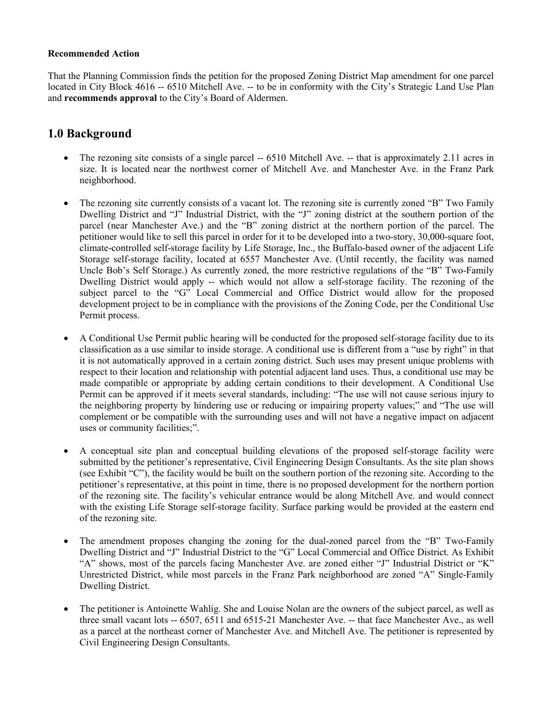## **Recommended Action**

That the Planning Commission finds the petition for the proposed Zoning District Map amendment for one parcel located in City Block 4616 -- 6510 Mitchell Ave. -- to be in conformity with the City's Strategic Land Use Plan and **recommends approval** to the City's Board of Aldermen.

## **1.0 Background**

- The rezoning site consists of a single parcel -- 6510 Mitchell Ave. -- that is approximately 2.11 acres in size. It is located near the northwest corner of Mitchell Ave. and Manchester Ave. in the Franz Park neighborhood.
- The rezoning site currently consists of a vacant lot. The rezoning site is currently zoned "B" Two Family Dwelling District and "J" Industrial District, with the "J" zoning district at the southern portion of the parcel (near Manchester Ave.) and the "B" zoning district at the northern portion of the parcel. The petitioner would like to sell this parcel in order for it to be developed into a two-story, 30,000-square foot, climate-controlled self-storage facility by Life Storage, Inc., the Buffalo-based owner of the adjacent Life Storage self-storage facility, located at 6557 Manchester Ave. (Until recently, the facility was named Uncle Bob's Self Storage.) As currently zoned, the more restrictive regulations of the "B" Two-Family Dwelling District would apply -- which would not allow a self-storage facility. The rezoning of the subject parcel to the "G" Local Commercial and Office District would allow for the proposed development project to be in compliance with the provisions of the Zoning Code, per the Conditional Use Permit process.
- A Conditional Use Permit public hearing will be conducted for the proposed self-storage facility due to its classification as a use similar to inside storage. A conditional use is different from a "use by right" in that it is not automatically approved in a certain zoning district. Such uses may present unique problems with respect to their location and relationship with potential adjacent land uses. Thus, a conditional use may be made compatible or appropriate by adding certain conditions to their development. A Conditional Use Permit can be approved if it meets several standards, including: "The use will not cause serious injury to the neighboring property by hindering use or reducing or impairing property values;" and "The use will complement or be compatible with the surrounding uses and will not have a negative impact on adjacent uses or community facilities;".
- A conceptual site plan and conceptual building elevations of the proposed self-storage facility were submitted by the petitioner's representative, Civil Engineering Design Consultants. As the site plan shows (see Exhibit "C"), the facility would be built on the southern portion of the rezoning site. According to the petitioner's representative, at this point in time, there is no proposed development for the northern portion of the rezoning site. The facility's vehicular entrance would be along Mitchell Ave. and would connect with the existing Life Storage self-storage facility. Surface parking would be provided at the eastern end of the rezoning site.
- The amendment proposes changing the zoning for the dual-zoned parcel from the "B" Two-Family Dwelling District and "J" Industrial District to the "G" Local Commercial and Office District. As Exhibit "A" shows, most of the parcels facing Manchester Ave. are zoned either "J" Industrial District or "K" Unrestricted District, while most parcels in the Franz Park neighborhood are zoned "A" Single-Family Dwelling District.
- The petitioner is Antoinette Wahlig. She and Louise Nolan are the owners of the subject parcel, as well as three small vacant lots -- 6507, 6511 and 6515-21 Manchester Ave. -- that face Manchester Ave., as well as a parcel at the northeast corner of Manchester Ave. and Mitchell Ave. The petitioner is represented by Civil Engineering Design Consultants.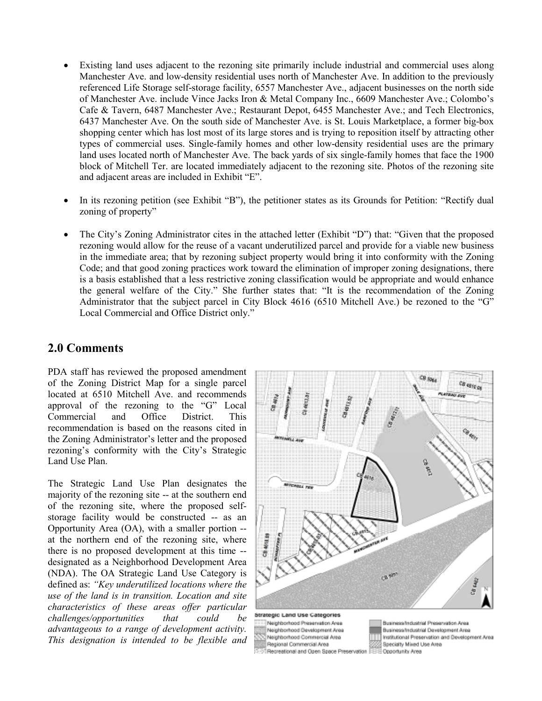- Existing land uses adjacent to the rezoning site primarily include industrial and commercial uses along Manchester Ave. and low-density residential uses north of Manchester Ave. In addition to the previously referenced Life Storage self-storage facility, 6557 Manchester Ave., adjacent businesses on the north side of Manchester Ave. include Vince Jacks Iron & Metal Company Inc., 6609 Manchester Ave.; Colombo's Cafe & Tavern, 6487 Manchester Ave.; Restaurant Depot, 6455 Manchester Ave.; and Tech Electronics, 6437 Manchester Ave. On the south side of Manchester Ave. is St. Louis Marketplace, a former big-box shopping center which has lost most of its large stores and is trying to reposition itself by attracting other types of commercial uses. Single-family homes and other low-density residential uses are the primary land uses located north of Manchester Ave. The back yards of six single-family homes that face the 1900 block of Mitchell Ter. are located immediately adjacent to the rezoning site. Photos of the rezoning site and adjacent areas are included in Exhibit "E".
- In its rezoning petition (see Exhibit "B"), the petitioner states as its Grounds for Petition: "Rectify dual zoning of property"
- The City's Zoning Administrator cites in the attached letter (Exhibit "D") that: "Given that the proposed rezoning would allow for the reuse of a vacant underutilized parcel and provide for a viable new business in the immediate area; that by rezoning subject property would bring it into conformity with the Zoning Code; and that good zoning practices work toward the elimination of improper zoning designations, there is a basis established that a less restrictive zoning classification would be appropriate and would enhance the general welfare of the City." She further states that: "It is the recommendation of the Zoning Administrator that the subject parcel in City Block 4616 (6510 Mitchell Ave.) be rezoned to the "G" Local Commercial and Office District only."

## **2.0 Comments**

PDA staff has reviewed the proposed amendment of the Zoning District Map for a single parcel located at 6510 Mitchell Ave. and recommends approval of the rezoning to the "G" Local Commercial and Office District. This recommendation is based on the reasons cited in the Zoning Administrator's letter and the proposed rezoning's conformity with the City's Strategic Land Use Plan.

The Strategic Land Use Plan designates the majority of the rezoning site -- at the southern end of the rezoning site, where the proposed selfstorage facility would be constructed -- as an Opportunity Area (OA), with a smaller portion - at the northern end of the rezoning site, where there is no proposed development at this time - designated as a Neighborhood Development Area (NDA). The OA Strategic Land Use Category is defined as: *"Key underutilized locations where the use of the land is in transition. Location and site characteristics of these areas offer particular challenges/opportunities that could be advantageous to a range of development activity. This designation is intended to be flexible and* 



Naiphborhood Preservation Area Neighborhood Development Area Neighborhood Commercial Area Regional Commercial Area Recreational and Open Space Preservation

Business/Industrial Preservation Area Business/Industrial Development Area Institutional Preservation and Development Area Specialty Mixed Use Area Coportunity Area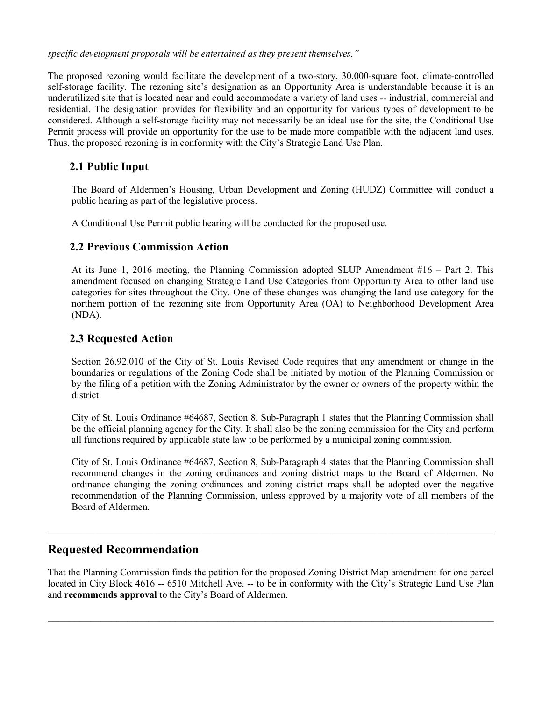*specific development proposals will be entertained as they present themselves."*

The proposed rezoning would facilitate the development of a two-story, 30,000-square foot, climate-controlled self-storage facility. The rezoning site's designation as an Opportunity Area is understandable because it is an underutilized site that is located near and could accommodate a variety of land uses -- industrial, commercial and residential. The designation provides for flexibility and an opportunity for various types of development to be considered. Although a self-storage facility may not necessarily be an ideal use for the site, the Conditional Use Permit process will provide an opportunity for the use to be made more compatible with the adjacent land uses. Thus, the proposed rezoning is in conformity with the City's Strategic Land Use Plan.

## **2.1 Public Input**

 The Board of Aldermen's Housing, Urban Development and Zoning (HUDZ) Committee will conduct a public hearing as part of the legislative process.

A Conditional Use Permit public hearing will be conducted for the proposed use.

## **2.2 Previous Commission Action**

At its June 1, 2016 meeting, the Planning Commission adopted SLUP Amendment #16 – Part 2. This amendment focused on changing Strategic Land Use Categories from Opportunity Area to other land use categories for sites throughout the City. One of these changes was changing the land use category for the northern portion of the rezoning site from Opportunity Area (OA) to Neighborhood Development Area (NDA).

## **2.3 Requested Action**

 Section 26.92.010 of the City of St. Louis Revised Code requires that any amendment or change in the boundaries or regulations of the Zoning Code shall be initiated by motion of the Planning Commission or by the filing of a petition with the Zoning Administrator by the owner or owners of the property within the district.

 City of St. Louis Ordinance #64687, Section 8, Sub-Paragraph 1 states that the Planning Commission shall be the official planning agency for the City. It shall also be the zoning commission for the City and perform all functions required by applicable state law to be performed by a municipal zoning commission.

City of St. Louis Ordinance #64687, Section 8, Sub-Paragraph 4 states that the Planning Commission shall recommend changes in the zoning ordinances and zoning district maps to the Board of Aldermen. No ordinance changing the zoning ordinances and zoning district maps shall be adopted over the negative recommendation of the Planning Commission, unless approved by a majority vote of all members of the Board of Aldermen.

## **Requested Recommendation**

That the Planning Commission finds the petition for the proposed Zoning District Map amendment for one parcel located in City Block 4616 -- 6510 Mitchell Ave. -- to be in conformity with the City's Strategic Land Use Plan and **recommends approval** to the City's Board of Aldermen.

**\_\_\_\_\_\_\_\_\_\_\_\_\_\_\_\_\_\_\_\_\_\_\_\_\_\_\_\_\_\_\_\_\_\_\_\_\_\_\_\_\_\_\_\_\_\_\_\_\_\_\_\_\_\_\_\_\_\_\_\_\_\_\_\_\_\_\_\_\_\_\_\_\_\_\_\_\_\_\_\_\_\_\_\_**

 $\_$  , and the set of the set of the set of the set of the set of the set of the set of the set of the set of the set of the set of the set of the set of the set of the set of the set of the set of the set of the set of th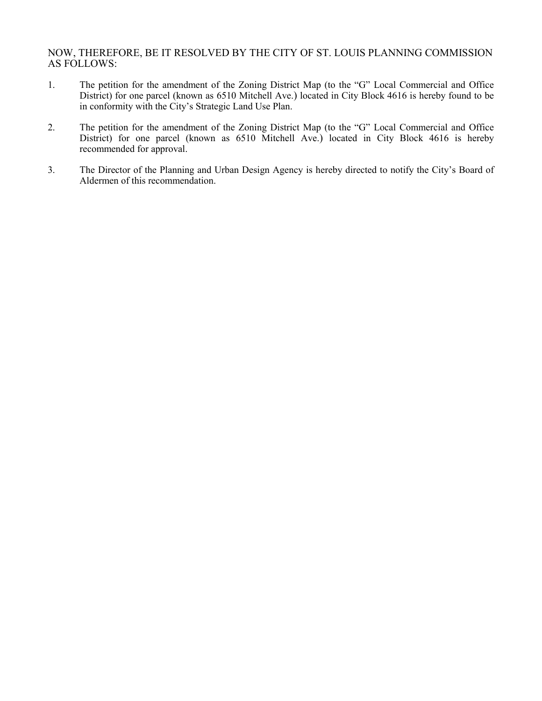## NOW, THEREFORE, BE IT RESOLVED BY THE CITY OF ST. LOUIS PLANNING COMMISSION AS FOLLOWS:

- 1. The petition for the amendment of the Zoning District Map (to the "G" Local Commercial and Office District) for one parcel (known as 6510 Mitchell Ave.) located in City Block 4616 is hereby found to be in conformity with the City's Strategic Land Use Plan.
- 2. The petition for the amendment of the Zoning District Map (to the "G" Local Commercial and Office District) for one parcel (known as 6510 Mitchell Ave.) located in City Block 4616 is hereby recommended for approval.
- 3. The Director of the Planning and Urban Design Agency is hereby directed to notify the City's Board of Aldermen of this recommendation.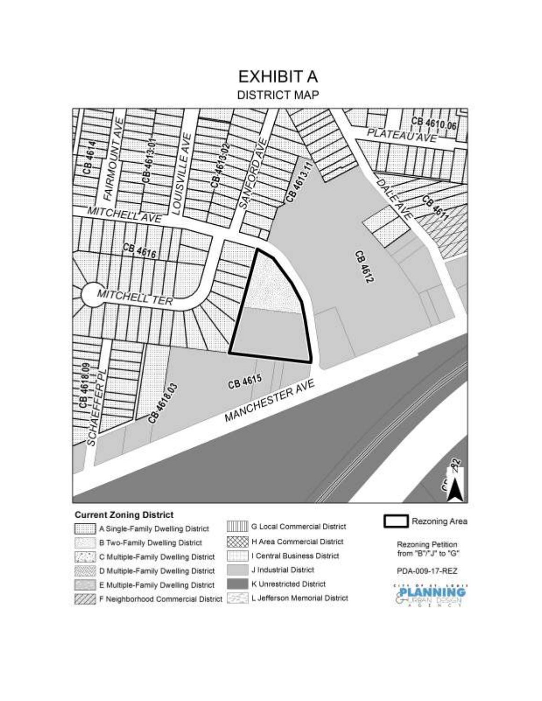# **EXHIBIT A DISTRICT MAP**



## **Current Zoning District**

V)

- A Single-Family Dwelling District
	- **B Two-Family Dwelling District**
	- C Multiple-Family Dwelling District
	- D Multiple-Family Dwelling District
	- E Multiple-Family Dwelling District
	- F Neighborhood Commercial District
- G Local Commercial District
	- H Area Commercial District 58
	- I Central Business District
	-
	- J Industrial District
		- K Unrestricted District
		- L Jefferson Memorial District
- Rezoning Area
- Rezoning Petition from "B"/"J" to "G"
- PDA-009-17-REZ

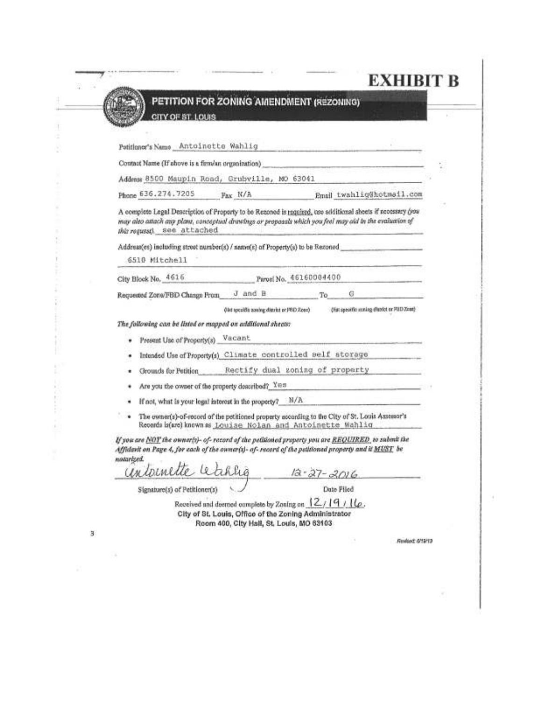|   | PETITION FOR ZONING AMENDMENT (REZONING)                                                                                                                                                                                                             |
|---|------------------------------------------------------------------------------------------------------------------------------------------------------------------------------------------------------------------------------------------------------|
|   | CITY OF ST. LOUIS                                                                                                                                                                                                                                    |
|   |                                                                                                                                                                                                                                                      |
|   | Potitioner's Name Antoinette Wahlig                                                                                                                                                                                                                  |
|   | Contact Name (If above is a firm/an organization) experience and contact the control of the contact of the contact of the contact of the contact of the contact of the contact of the contact of the contact of the contact of                       |
|   | Address 8500 Maupin Road, Grubville, MO 63041                                                                                                                                                                                                        |
|   | Phone 636.274.7205 Fax N/A Bmail twahlig@hotmail.com                                                                                                                                                                                                 |
|   |                                                                                                                                                                                                                                                      |
|   | A complete Legal Description of Property to be Rezoned is required, use additional sheets if necessary (you<br>may also attach any plant, conceptual drawings or proposals which you feel may aid in the evaluation of<br>whirveguess), see attached |
|   | Address(es) including street number(s) / name(s) of Property(s) to be Rezoned                                                                                                                                                                        |
|   | 6510 Mitchell                                                                                                                                                                                                                                        |
|   | Parcel No. 46160004400<br>City Block No. 4616                                                                                                                                                                                                        |
|   | J and B<br>G<br>To<br>Requested Zone/FBD Change From                                                                                                                                                                                                 |
|   | (Fut specific scelag displot or PIID Zeas)<br>(let toxalds aoning district or PBD Zeee)                                                                                                                                                              |
|   | The following can be listed or mapped on additional sheets:                                                                                                                                                                                          |
|   | Vacant<br>Present Use of Property(s)                                                                                                                                                                                                                 |
|   | Intended Use of Property(s) Climate controlled self storage                                                                                                                                                                                          |
|   | Rectify dual zoning of property<br>Grounds for Petition                                                                                                                                                                                              |
|   | Are you the owner of the property described? Yes<br><b>Automotive Secrets</b><br>٠                                                                                                                                                                   |
|   | If not, what is your logal interest in the property? N/A<br>٠                                                                                                                                                                                        |
|   | ۰.<br>The owner(s)-of-record of the petitioned property according to the City of St. Louis Assessor's                                                                                                                                                |
|   | Records is(are) known as Louise Nolan and Antoinette Wahlig                                                                                                                                                                                          |
|   | If you are NOT the owner(s)- of-record of the pelitioned property you are <u>REQUIRED</u> , to submit the<br>Affidarit on Page 4, for each of the owner(x)- of- record of the petitioned property and it MUST be<br>notarized.                       |
|   | untoinette letarlie<br>$12 - 27 - 2016$                                                                                                                                                                                                              |
|   | Date Filed<br>Signature(s) of Petitioner(s)                                                                                                                                                                                                          |
|   | Received and deemed complete by Zoning on 12/19/16.                                                                                                                                                                                                  |
|   | City of St. Louis, Office of the Zoning Administrator<br>Room 400, City Hall, St. Louis, MO 63103                                                                                                                                                    |
|   | Revised: 6/19/13                                                                                                                                                                                                                                     |
| з |                                                                                                                                                                                                                                                      |
|   |                                                                                                                                                                                                                                                      |

Ú.

an Experience and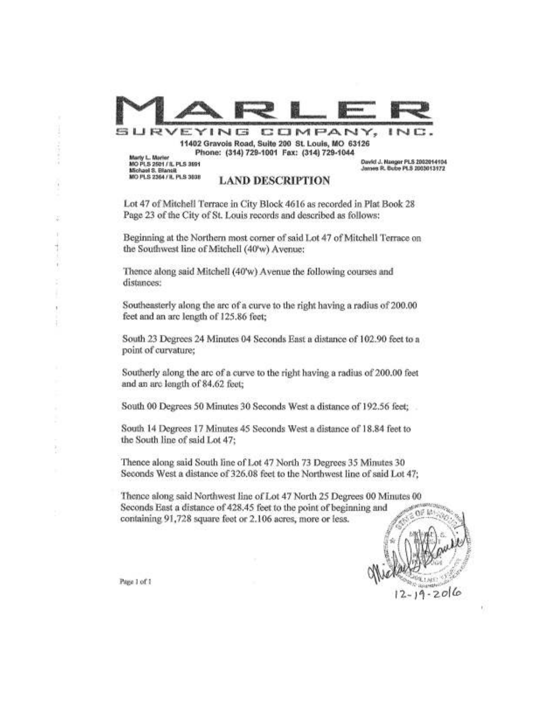| RVEYING                                                                                         | 11402 Gravois Road, Suite 200 St. Louis, MO 63126<br>Phone: (314) 729-1001 Fax: (314) 729-1044                                                                                                                   | COMPANY, | INC                                                            |
|-------------------------------------------------------------------------------------------------|------------------------------------------------------------------------------------------------------------------------------------------------------------------------------------------------------------------|----------|----------------------------------------------------------------|
| Marty L. Marter<br>MO PLS 2501 / IL PLS 3591<br>Michael S. Blansit<br>MO PLS 2364 / IL PLS 3538 | <b>LAND DESCRIPTION</b>                                                                                                                                                                                          |          | David J. Nanger PLS 2002014104<br>James R. Bube PLS 2003013172 |
|                                                                                                 | Lot 47 of Mitchell Terrace in City Block 4616 as recorded in Plat Book 28<br>Page 23 of the City of St. Louis records and described as follows:                                                                  |          |                                                                |
|                                                                                                 | Beginning at the Northern most corner of said Lot 47 of Mitchell Terrace on<br>the Southwest line of Mitchell (40'w) Avenue:                                                                                     |          |                                                                |
| distances:                                                                                      | Thence along said Mitchell (40'w) Avenue the following courses and                                                                                                                                               |          |                                                                |
| feet and an arc length of 125.86 feet;                                                          | Southeasterly along the arc of a curve to the right having a radius of 200.00                                                                                                                                    |          |                                                                |
| point of curvature;                                                                             | South 23 Degrees 24 Minutes 04 Seconds East a distance of 102.90 feet to a                                                                                                                                       |          |                                                                |
| and an arc length of 84.62 feet;                                                                | Southerly along the arc of a curve to the right having a radius of 200.00 feet                                                                                                                                   |          |                                                                |
|                                                                                                 | South 00 Degrees 50 Minutes 30 Seconds West a distance of 192.56 feet;                                                                                                                                           |          |                                                                |
| the South line of said Lot 47;                                                                  | South 14 Degrees 17 Minutes 45 Seconds West a distance of 18.84 feet to                                                                                                                                          |          |                                                                |
|                                                                                                 | Thence along said South line of Lot 47 North 73 Degrees 35 Minutes 30<br>Seconds West a distance of 326.08 feet to the Northwest line of said Lot 47;                                                            |          |                                                                |
|                                                                                                 | Thence along said Northwest line of Lot 47 North 25 Degrees 00 Minutes 00<br>Seconds East a distance of 428.45 feet to the point of beginning and<br>containing 91,728 square feet or 2.106 acres, more or less. |          |                                                                |
|                                                                                                 |                                                                                                                                                                                                                  |          |                                                                |
| Page 1 of 1                                                                                     |                                                                                                                                                                                                                  |          | $-19 - 2016$                                                   |

whether clear a

ļ

¥, ï  $\frac{1}{2}$ 

ł. ŧ

 $\frac{1}{2}$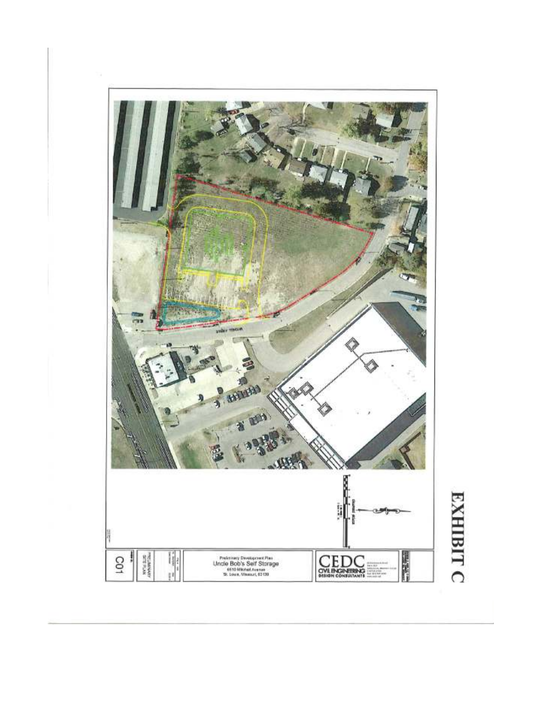

÷,

# **EXHIBIT C**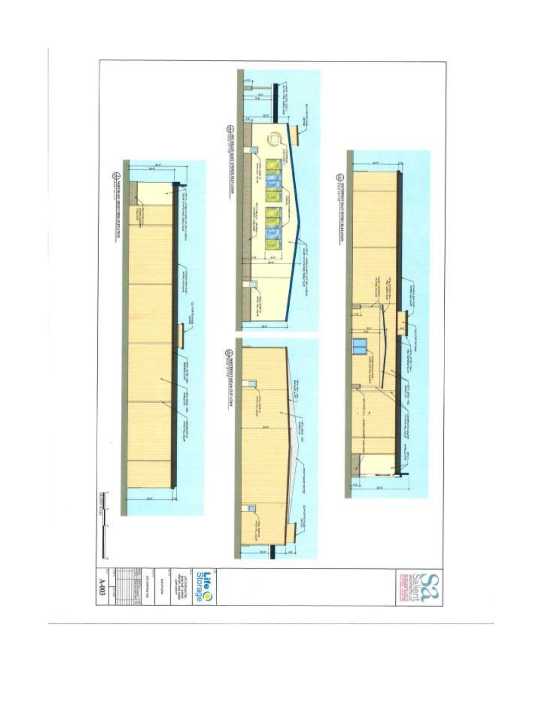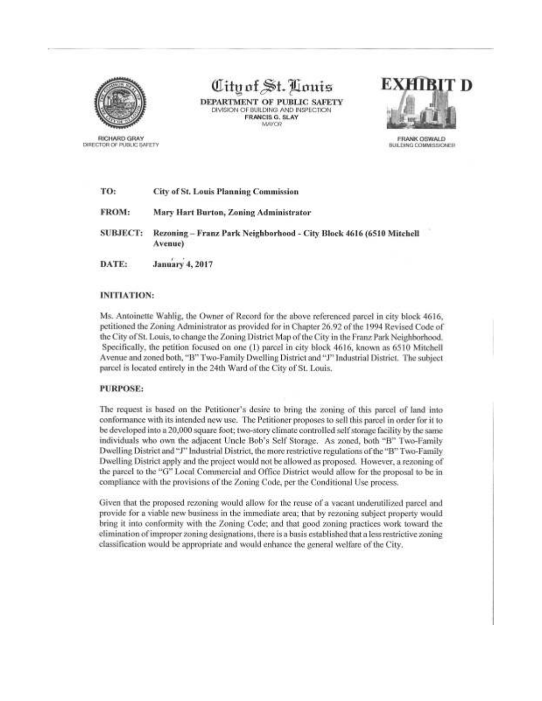

**RICHARD GRAY** DIRECTOR OF PUBLIC SAFETY

# City of St. Louis

DEPARTMENT OF PUBLIC SAFETY DIVISION OF BUILDING AND INSPECTION FRANCIS G. SLAY **MAYOR** 



FRANK OSWALD BULDING COMMISSIONER

| TO:             | <b>City of St. Louis Planning Commission</b>                                   |  |  |
|-----------------|--------------------------------------------------------------------------------|--|--|
| FROM:           | Mary Hart Burton, Zoning Administrator                                         |  |  |
| <b>SUBJECT:</b> | Rezoning - Franz Park Neighborhood - City Block 4616 (6510 Mitchell<br>Avenue) |  |  |
| DATE:           | January 4, 2017                                                                |  |  |

### **INITIATION:**

Ms. Antoinette Wahlig, the Owner of Record for the above referenced parcel in city block 4616, petitioned the Zoning Administrator as provided for in Chapter 26.92 of the 1994 Revised Code of the City of St. Louis, to change the Zoning District Map of the City in the Franz Park Neighborhood. Specifically, the petition focused on one (1) parcel in city block 4616, known as 6510 Mitchell Avenue and zoned both, "B" Two-Family Dwelling District and "J" Industrial District. The subject parcel is located entirely in the 24th Ward of the City of St. Louis.

### **PURPOSE:**

The request is based on the Petitioner's desire to bring the zoning of this parcel of land into conformance with its intended new use. The Petitioner proposes to sell this parcel in order for it to be developed into a 20,000 square foot; two-story climate controlled self storage facility by the same individuals who own the adjacent Uncle Bob's Self Storage. As zoned, both "B" Two-Family Dwelling District and "J" Industrial District, the more restrictive regulations of the "B" Two-Family Dwelling District apply and the project would not be allowed as proposed. However, a rezoning of the parcel to the "G" Local Commercial and Office District would allow for the proposal to be in compliance with the provisions of the Zoning Code, per the Conditional Use process.

Given that the proposed rezoning would allow for the reuse of a vacant underutilized parcel and provide for a viable new business in the immediate area; that by rezoning subject property would bring it into conformity with the Zoning Code; and that good zoning practices work toward the elimination of improper zoning designations, there is a basis established that a less restrictive zoning classification would be appropriate and would enhance the general welfare of the City.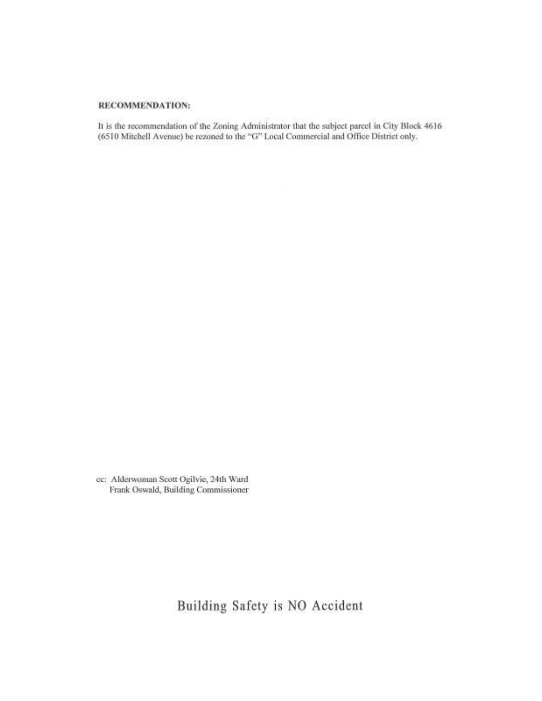## RECOMMENDATION:

It is the recommendation of the Zoning Administrator that the subject parcel in City Block 4616 (6510 Mitchell Avenue) be rezoned to the "G" Local Commercial and Office District only.

cc: Alderwoman Scott Ogilvie, 24th Ward Frank Oswald, Building Commissioner

Building Safety is NO Accident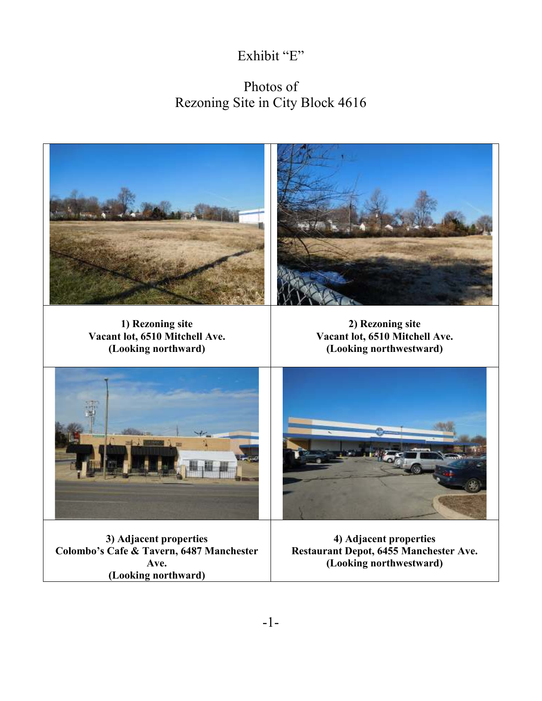## Exhibit "E"

# Photos of Rezoning Site in City Block 4616

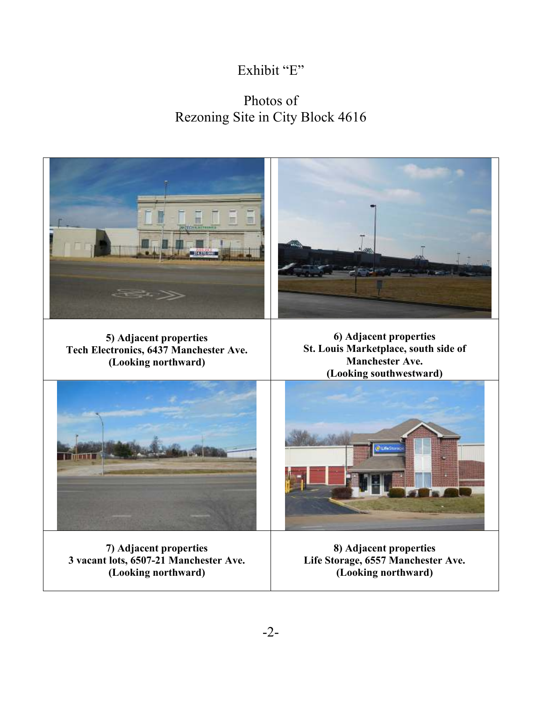# Exhibit "E"

## Photos of Rezoning Site in City Block 4616



**(Looking northward)** 

**Life Storage, 6557 Manchester Ave. (Looking northward)**